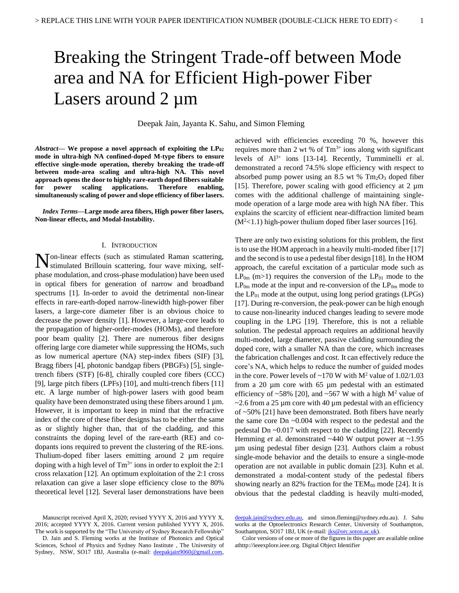# Breaking the Stringent Trade-off between Mode area and NA for Efficient High-power Fiber Lasers around 2  $\mu$ m

Deepak Jain, Jayanta K. Sahu, and Simon Fleming

*Abstract***— We propose a novel approach of exploiting the LP<sup>02</sup> mode in ultra-high NA confined-doped M-type fibers to ensure effective single-mode operation, thereby breaking the trade-off between mode-area scaling and ultra-high NA. This novel approach opens the door to highly rare-earth doped fibers suitable for power scaling applications. Therefore enabling, simultaneously scaling of power and slope efficiency of fiber lasers.**

*Index Terms***—Large mode area fibers, High power fiber lasers, Non-linear effects, and Modal-Instability.**

### I. INTRODUCTION

on-linear effects (such as stimulated Raman scattering, Nstimulated Brillouin scattering, four wave mixing, selfphase modulation, and cross-phase modulation) have been used in optical fibers for generation of narrow and broadband spectrums [1]. In-order to avoid the detrimental non-linear effects in rare-earth-doped narrow-linewidth high-power fiber lasers, a large-core diameter fiber is an obvious choice to decrease the power density [1]. However, a large-core leads to the propagation of higher-order-modes (HOMs), and therefore poor beam quality [2]. There are numerous fiber designs offering large core diameter while suppressing the HOMs, such as low numerical aperture (NA) step-index fibers (SIF) [3], Bragg fibers [4], photonic bandgap fibers (PBGFs) [5], singletrench fibers (STF) [6-8], chirally coupled core fibers (CCC) [9], large pitch fibers (LPFs) [10], and multi-trench fibers [11] etc. A large number of high-power lasers with good beam quality have been demonstrated using these fibers around  $1 \mu m$ . However, it is important to keep in mind that the refractive index of the core of these fiber designs has to be either the same as or slightly higher than, that of the cladding, and this constraints the doping level of the rare-earth (RE) and codopants ions required to prevent the clustering of the RE-ions. Thulium-doped fiber lasers emitting around 2 µm require doping with a high level of  $Tm^{3+}$  ions in order to exploit the 2:1 cross relaxation [12]. An optimum exploitation of the 2:1 cross relaxation can give a laser slope efficiency close to the 80% theoretical level [12]. Several laser demonstrations have been

achieved with efficiencies exceeding 70 %, however this requires more than 2 wt % of  $Tm^{3+}$  ions along with significant levels of Al3+ ions [13-14]. Recently, Tumminelli *et* al. demonstrated a record 74.5% slope efficiency with respect to absorbed pump power using an 8.5 wt %  $Tm<sub>2</sub>O<sub>3</sub>$  doped fiber [15]. Therefore, power scaling with good efficiency at 2 µm comes with the additional challenge of maintaining singlemode operation of a large mode area with high NA fiber. This explains the scarcity of efficient near-diffraction limited beam  $(M<sup>2</sup><1.1)$  high-power thulium doped fiber laser sources [16].

There are only two existing solutions for this problem, the first is to use the HOM approach in a heavily multi-moded fiber [17] and the second is to use a pedestal fiber design [18]. In the HOM approach, the careful excitation of a particular mode such as  $LP_{0m}$  (m>1) requires the conversion of the  $LP_{01}$  mode to the  $LP_{0m}$  mode at the input and re-conversion of the  $LP_{0m}$  mode to the  $LP_{01}$  mode at the output, using long period gratings (LPGs) [17]. During re-conversion, the peak-power can be high enough to cause non-linearity induced changes leading to severe mode coupling in the LPG [19]. Therefore, this is not a reliable solution. The pedestal approach requires an additional heavily multi-moded, large diameter, passive cladding surrounding the doped core, with a smaller NA than the core, which increases the fabrication challenges and cost. It can effectively reduce the core's NA, which helps to reduce the number of guided modes in the core. Power levels of  $\sim$ 170 W with M<sup>2</sup> value of 1.02/1.03 from a 20 µm core with 65 µm pedestal with an estimated efficiency of  $\sim 58\%$  [20], and  $\sim 567$  W with a high M<sup>2</sup> value of  $\sim$ 2.6 from a 25 µm core with 40 µm pedestal with an efficiency of ~50% [21] have been demonstrated. Both fibers have nearly the same core  $Dn \sim 0.004$  with respect to the pedestal and the pedestal Dn ~0.017 with respect to the cladding [22]. Recently Hemming *et* al. demonstrated ~440 W output power at ~1.95 µm using pedestal fiber design [23]. Authors claim a robust single-mode behavior and the details to ensure a single-mode operation are not available in public domain [23]. Kuhn et al. demonstrated a modal-content study of the pedestal fibers showing nearly an 82% fraction for the  $TEM_{00}$  mode [24]. It is obvious that the pedestal cladding is heavily multi-moded,

[deepak.jain@sydney.edu.au,](mailto:deepak.jain@sydney.edu.au) and simon.fleming@sydney.edu.au). J. Sahu works at the Optoelectronics Research Center, University of Southampton, Southampton, SO17 1BJ, UK (e-mail[: jks@orc.soton.ac.uk\)](mailto:jks@orc.soton.ac.uk).

Color versions of one or more of the figures in this paper are available online athttp://ieeexplore.ieee.org. Digital Object Identifier

Manuscript received April X, 2020; revised YYYY X, 2016 and YYYY X, 2016; accepted YYYY X, 2016. Current version published YYYY X, 2016. The work is supported by the "The University of Sydney Research Fellowship"

D. Jain and S. Fleming works at the Institute of Photonics and Optical Sciences, School of Physics and Sydney Nano Institute , The University of Sydney, NSW, SO17 1BJ, Australia (e-mail: deepakjain9060@gmail.com,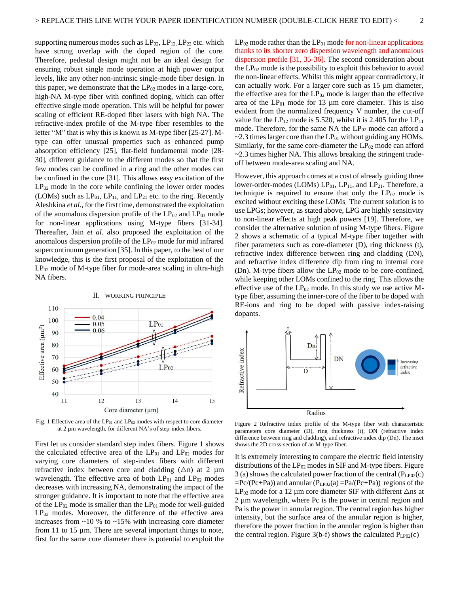supporting numerous modes such as  $LP_{02}$ ,  $LP_{12}$ ,  $LP_{22}$  etc. which have strong overlap with the doped region of the core. Therefore, pedestal design might not be an ideal design for ensuring robust single mode operation at high power output levels, like any other non-intrinsic single-mode fiber design. In this paper, we demonstrate that the  $LP_{02}$  modes in a large-core, high-NA M-type fiber with confined doping, which can offer effective single mode operation. This will be helpful for power scaling of efficient RE-doped fiber lasers with high NA. The refractive-index profile of the M-type fiber resembles to the letter "M" that is why this is known as M-type fiber [25-27]. Mtype can offer unusual properties such as enhanced pump absorption efficiency [25], flat-field fundamental mode [28- 30], different guidance to the different modes so that the first few modes can be confined in a ring and the other modes can be confined in the core [31]. This allows easy excitation of the  $LP_{02}$  mode in the core while confining the lower order modes (LOMs) such as  $LP_{01}$ ,  $LP_{11}$ , and  $LP_{21}$  etc. to the ring. Recently Aleshkina *et al.*, for the first time, demonstrated the exploitation of the anomalous dispersion profile of the  $LP_{02}$  and  $LP_{03}$  mode for non-linear applications using M-type fibers [31-34]. Thereafter, Jain *et al.* also proposed the exploitation of the anomalous dispersion profile of the  $LP<sub>02</sub>$  mode for mid infrared supercontinuum generation [35]. In this paper, to the best of our knowledge, this is the first proposal of the exploitation of the  $LP_{02}$  mode of M-type fiber for mode-area scaling in ultra-high NA fibers.



#### II. WORKING PRINCIPLE

at 2 µm wavelength, for different NA's of step-index fibers.

First let us consider standard step index fibers. Figure 1 shows the calculated effective area of the  $LP_{01}$  and  $LP_{02}$  modes for varying core diameters of step-index fibers with different refractive index between core and cladding  $(\Delta n)$  at 2  $\mu$ m wavelength. The effective area of both  $LP_{01}$  and  $LP_{02}$  modes decreases with increasing NA, demonstrating the impact of the stronger guidance. It is important to note that the effective area of the  $LP_{02}$  mode is smaller than the  $LP_{01}$  mode for well-guided  $LP_{02}$  modes. Moreover, the difference of the effective area increases from  $\sim$ 10 % to  $\sim$ 15% with increasing core diameter from 11 to 15 µm. There are several important things to note, first for the same core diameter there is potential to exploit the

 $LP_{02}$  mode rather than the  $LP_{01}$  mode for non-linear applications thanks to its shorter zero dispersion wavelength and anomalous dispersion profile [31, 35-36]. The second consideration about the  $LP_{02}$  mode is the possibility to exploit this behavior to avoid the non-linear effects. Whilst this might appear contradictory, it can actually work. For a larger core such as 15 µm diameter, the effective area for the  $LP_{02}$  mode is larger than the effective area of the  $LP_{01}$  mode for 13 µm core diameter. This is also evident from the normalized frequency V number, the cut-off value for the  $LP_{12}$  mode is 5.520, whilst it is 2.405 for the  $LP_{11}$ mode. Therefore, for the same NA the  $LP_{02}$  mode can afford a  $\sim$ 2.3 times larger core than the LP $_{01}$  without guiding any HOMs. Similarly, for the same core-diameter the  $LP_{02}$  mode can afford  $\sim$ 2.3 times higher NA. This allows breaking the stringent tradeoff between mode-area scaling and NA.

However, this approach comes at a cost of already guiding three lower-order-modes (LOMs)  $LP_{01}$ ,  $LP_{11}$ , and  $LP_{21}$ . Therefore, a technique is required to ensure that only the  $LP_{02}$  mode is excited without exciting these LOMs. The current solution is to use LPGs; however, as stated above, LPG are highly sensitivity to non-linear effects at high peak powers [19]. Therefore, we consider the alternative solution of using M-type fibers. Figure 2 shows a schematic of a typical M-type fiber together with fiber parameters such as core-diameter (D), ring thickness (t), refractive index difference between ring and cladding (DN), and refractive index difference dip from ring to internal core (Dn). M-type fibers allow the  $LP_{02}$  mode to be core-confined, while keeping other LOMs confined to the ring. This allows the effective use of the  $LP_{02}$  mode. In this study we use active Mtype fiber, assuming the inner-core of the fiber to be doped with RE-ions and ring to be doped with passive index-raising dopants.



Figure 2 Refractive index profile of the M-type fiber with characteristic parameters core diameter (D), ring thickness (t), DN (refractive index difference between ring and cladding), and refractive index dip (Dn). The inset shows the 2D cross-section of an M-type fiber.

It is extremely interesting to compare the electric field intensity distributions of the  $LP_{02}$  modes in SIF and M-type fibers. Figure 3 (a) shows the calculated power fraction of the central  $(P_{LP02}(c))$  $=Pc/(Pc+Pa)$ ) and annular  $(P_{LP02}(a) = Pa/(Pc+Pa))$  regions of the LP<sub>02</sub> mode for a 12 µm core diameter SIF with different  $\triangle$ ns at 2 µm wavelength, where Pc is the power in central region and Pa is the power in annular region. The central region has higher intensity, but the surface area of the annular region is higher, therefore the power fraction in the annular region is higher than the central region. Figure 3(b-f) shows the calculated  $P_{LP02}(c)$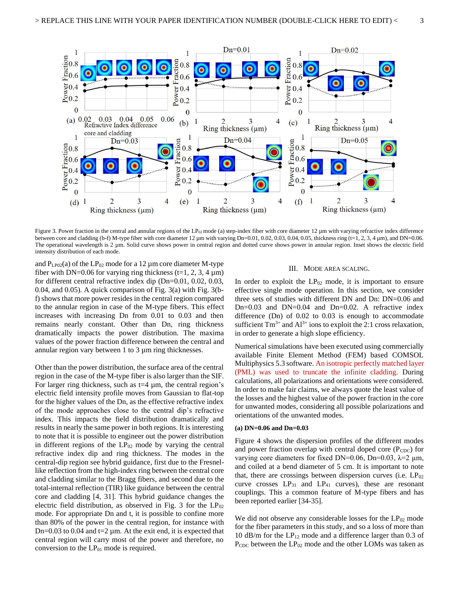

Figure 3. Power fraction in the central and annular regions of the LP<sub>02</sub> mode (a) step-index fiber with core diameter 12  $\mu$ m with varying refractive index difference between core and cladding (b-f) M-type fiber with core diameter 12 µm with varying Dn=0.01, 0.02, 0.03, 0.04, 0.05, thickness ring (t=1, 2, 3, 4 µm), and DN=0.06. The operational wavelength is 2 µm. Solid curve shows power in central region and dotted curve shows power in annular region. Inset shows the electric field intensity distribution of each mode.

and  $P_{LP02}(a)$  of the  $LP_{02}$  mode for a 12  $\mu$ m core diameter M-type fiber with DN=0.06 for varying ring thickness (t=1, 2, 3, 4  $\mu$ m) for different central refractive index dip (Dn=0.01, 0.02, 0.03, 0.04, and 0.05). A quick comparison of Fig. 3(a) with Fig. 3(bf) shows that more power resides in the central region compared to the annular region in case of the M-type fibers. This effect increases with increasing Dn from 0.01 to 0.03 and then remains nearly constant. Other than Dn, ring thickness dramatically impacts the power distribution. The maxima values of the power fraction difference between the central and annular region vary between 1 to 3 µm ring thicknesses.

Other than the power distribution, the surface area of the central region in the case of the M-type fiber is also larger than the SIF. For larger ring thickness, such as  $t=4 \mu m$ , the central region's electric field intensity profile moves from Gaussian to flat-top for the higher values of the Dn, as the effective refractive index of the mode approaches close to the central dip's refractive index. This impacts the field distribution dramatically and results in nearly the same power in both regions. It is interesting to note that it is possible to engineer out the power distribution in different regions of the  $LP<sub>02</sub>$  mode by varying the central refractive index dip and ring thickness. The modes in the central-dip region see hybrid guidance, first due to the Fresnellike reflection from the high-index ring between the central core and cladding similar to the Bragg fibers, and second due to the total-internal reflection (TIR) like guidance between the central core and cladding [4, 31]. This hybrid guidance changes the electric field distribution, as observed in Fig. 3 for the  $LP_{02}$ mode. For appropriate Dn and t, it is possible to confine more than 80% of the power in the central region, for instance with Dn=0.03 to 0.04 and t=2  $\mu$ m. At the exit end, it is expected that central region will carry most of the power and therefore, no conversion to the  $LP<sub>01</sub>$  mode is required.

## III. MODE AREA SCALING.

In order to exploit the  $LP_{02}$  mode, it is important to ensure effective single mode operation. In this section, we consider three sets of studies with different DN and Dn: DN=0.06 and Dn=0.03 and DN=0.04 and Dn=0.02. A refractive index difference (Dn) of 0.02 to 0.03 is enough to accommodate sufficient  $Tm^{3+}$  and  $Al^{3+}$  ions to exploit the 2:1 cross relaxation, in order to generate a high slope efficiency.

Numerical simulations have been executed using commercially available Finite Element Method (FEM) based COMSOL Multiphysics 5.3 software. An isotropic perfectly matched layer (PML) was used to truncate the infinite cladding. During calculations, all polarizations and orientations were considered. In order to make fair claims, we always quote the least value of the losses and the highest value of the power fraction in the core for unwanted modes, considering all possible polarizations and orientations of the unwanted modes.

## **(a) DN=0.06 and Dn=0.03**

Figure 4 shows the dispersion profiles of the different modes and power fraction overlap with central doped core  $(P_{CDC})$  for varying core diameters for fixed DN=0.06, Dn=0.03,  $\lambda$ =2  $\mu$ m, and coiled at a bend diameter of 5 cm. It is important to note that, there are crossings between dispersion curves (i.e.  $LP_{02}$ curve crosses  $LP_{31}$  and  $LP_{41}$  curves), these are resonant couplings. This a common feature of M-type fibers and has been reported earlier [34-35].

We did not observe any considerable losses for the  $LP_{02}$  mode for the fiber parameters in this study, and so a loss of more than 10 dB/m for the  $LP_{12}$  mode and a difference larger than 0.3 of P<sub>CDC</sub> between the LP<sub>02</sub> mode and the other LOMs was taken as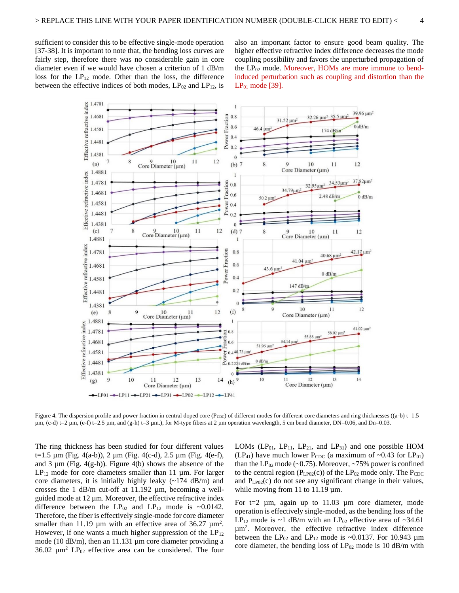sufficient to consider this to be effective single-mode operation [37-38]. It is important to note that, the bending loss curves are fairly step, therefore there was no considerable gain in core diameter even if we would have chosen a criterion of 1 dB/m loss for the  $LP_{12}$  mode. Other than the loss, the difference between the effective indices of both modes,  $LP_{02}$  and  $LP_{12}$ , is also an important factor to ensure good beam quality. The higher effective refractive index difference decreases the mode coupling possibility and favors the unperturbed propagation of the  $LP_{02}$  mode. Moreover, HOMs are more immune to bendinduced perturbation such as coupling and distortion than the  $LP<sub>01</sub>$  mode [39].



Figure 4. The dispersion profile and power fraction in central doped core (PcDc) of different modes for different core diameters and ring thicknesses ((a-b) t=1.5  $\mu$ m, (c-d) t=2  $\mu$ m, (e-f) t=2.5  $\mu$ m, and (g-h) t=3  $\mu$ m.), for M-type fibers at 2  $\mu$ m operation wavelength, 5 cm bend diameter, DN=0.06, and Dn=0.03.

The ring thickness has been studied for four different values t=1.5  $\mu$ m (Fig. 4(a-b)), 2  $\mu$ m (Fig. 4(c-d), 2.5  $\mu$ m (Fig. 4(e-f), and 3  $\mu$ m (Fig. 4(g-h)). Figure 4(b) shows the absence of the  $LP_{12}$  mode for core diameters smaller than 11  $\mu$ m. For larger core diameters, it is initially highly leaky  $({\sim}174 \text{ dB/m})$  and crosses the 1 dB/m cut-off at 11.192 µm, becoming a wellguided mode at 12 µm. Moreover, the effective refractive index difference between the  $LP_{02}$  and  $LP_{12}$  mode is ~0.0142. Therefore, the fiber is effectively single-mode for core diameter smaller than 11.19  $\mu$ m with an effective area of 36.27  $\mu$ m<sup>2</sup>. However, if one wants a much higher suppression of the  $LP_{12}$ mode (10 dB/m), then an 11.131 µm core diameter providing a 36.02  $\mu$ m<sup>2</sup> LP<sub>02</sub> effective area can be considered. The four

LOMs (LP<sub>01</sub>, LP<sub>11</sub>, LP<sub>21</sub>, and LP<sub>31</sub>) and one possible HOM (LP<sub>41</sub>) have much lower P<sub>CDC</sub> (a maximum of ~0.43 for LP<sub>01</sub>) than the  $LP_{02}$  mode (~0.75). Moreover, ~75% power is confined to the central region ( $P_{LP02}(c)$ ) of the  $LP_{02}$  mode only. The  $P_{CDC}$ and  $P_{LP02}(c)$  do not see any significant change in their values, while moving from 11 to  $11.19 \mu m$ .

For  $t=2$   $\mu$ m, again up to 11.03  $\mu$ m core diameter, mode operation is effectively single-moded, as the bending loss of the LP<sub>12</sub> mode is ~1 dB/m with an LP<sub>02</sub> effective area of ~34.61 µm<sup>2</sup> . Moreover, the effective refractive index difference between the  $LP_{02}$  and  $LP_{12}$  mode is ~0.0137. For 10.943  $\mu$ m core diameter, the bending loss of  $LP_{02}$  mode is 10 dB/m with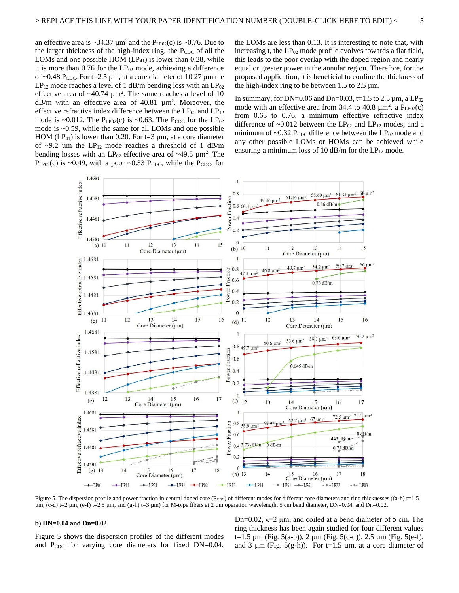an effective area is ~34.37  $\mu$ m<sup>2</sup> and the P<sub>LP02</sub>(c) is ~0.76. Due to the larger thickness of the high-index ring, the  $P_{CDC}$  of all the LOMs and one possible HOM  $(LP_{41})$  is lower than 0.28, while it is more than  $0.76$  for the  $LP_{02}$  mode, achieving a difference of ~0.48 P<sub>CDC</sub>. For t=2.5 µm, at a core diameter of 10.27 µm the  $LP_{12}$  mode reaches a level of 1 dB/m bending loss with an  $LP_{02}$ effective area of  $\sim$ 40.74  $\mu$ m<sup>2</sup>. The same reaches a level of 10  $dB/m$  with an effective area of 40.81  $\mu$ m<sup>2</sup>. Moreover, the effective refractive index difference between the  $LP_{02}$  and  $LP_{12}$ mode is ~0.012. The  $P_{LP02}(c)$  is ~0.63. The  $P_{CDC}$  for the  $LP_{02}$ mode is ~0.59, while the same for all LOMs and one possible HOM (LP<sub>41</sub>) is lower than 0.20. For t=3  $\mu$ m, at a core diameter of  $\sim$ 9.2 µm the LP<sub>12</sub> mode reaches a threshold of 1 dB/m bending losses with an  $LP_{02}$  effective area of ~49.5  $\mu$ m<sup>2</sup>. The  $P_{LP02}(c)$  is ~0.49, with a poor ~0.33  $P_{CDC}$ , while the  $P_{CDC}$  for

the LOMs are less than 0.13. It is interesting to note that, with increasing t, the  $LP_{02}$  mode profile evolves towards a flat field, this leads to the poor overlap with the doped region and nearly equal or greater power in the annular region. Therefore, for the proposed application, it is beneficial to confine the thickness of the high-index ring to be between  $1.5$  to  $2.5 \mu m$ .

In summary, for DN=0.06 and Dn=0.03, t=1.5 to 2.5  $\mu$ m, a LP<sub>02</sub> mode with an effective area from 34.4 to 40.8  $\mu$ m<sup>2</sup>, a  $P_{LP02}(c)$ from 0.63 to 0.76, a minimum effective refractive index difference of ~0.012 between the  $LP_{02}$  and  $LP_{12}$  modes, and a minimum of ~0.32  $P_{CDC}$  difference between the  $LP_{02}$  mode and any other possible LOMs or HOMs can be achieved while ensuring a minimum loss of 10 dB/m for the  $LP_{12}$  mode.



Figure 5. The dispersion profile and power fraction in central doped core ( $P_{\text{CDC}}$ ) of different modes for different core diameters and ring thicknesses ((a-b) t=1.5  $\mu$ m, (c-d) t=2  $\mu$ m, (e-f) t=2.5  $\mu$ m, and (g-h) t=3  $\mu$ m) for M-type fibers at 2  $\mu$ m operation wavelength, 5 cm bend diameter, DN=0.04, and Dn=0.02.

# **b) DN=0.04 and Dn=0.02**

Figure 5 shows the dispersion profiles of the different modes and  $P_{CDC}$  for varying core diameters for fixed  $DN=0.04$ ,

Dn=0.02,  $\lambda$ =2  $\mu$ m, and coiled at a bend diameter of 5 cm. The ring thickness has been again studied for four different values t=1.5  $\mu$ m (Fig. 5(a-b)), 2  $\mu$ m (Fig. 5(c-d)), 2.5  $\mu$ m (Fig. 5(e-f), and 3  $\mu$ m (Fig. 5(g-h)). For t=1.5  $\mu$ m, at a core diameter of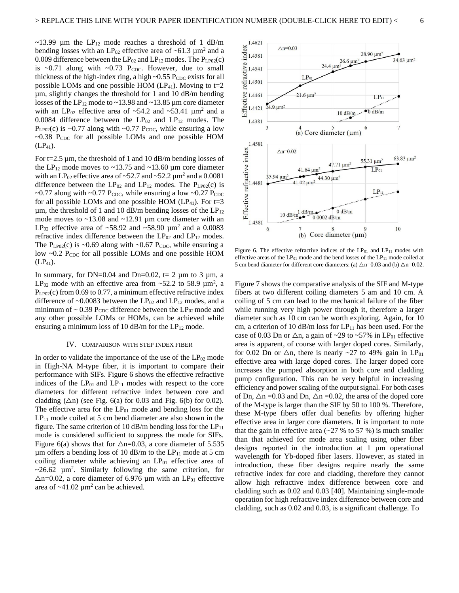~13.99 µm the  $LP_{12}$  mode reaches a threshold of 1 dB/m bending losses with an  $LP_{02}$  effective area of ~61.3  $\mu$ m<sup>2</sup> and a 0.009 difference between the  $LP_{02}$  and  $LP_{12}$  modes. The  $P_{LP02}(c)$ is  $\sim 0.71$  along with  $\sim 0.73$  P<sub>CDC</sub>. However, due to small thickness of the high-index ring, a high  $\sim 0.55$  P<sub>CDC</sub> exists for all possible LOMs and one possible HOM ( $LP_{41}$ ). Moving to t=2 µm, slightly changes the threshold for 1 and 10 dB/m bending losses of the  $LP_{12}$  mode to ~13.98 and ~13.85 µm core diameter with an LP<sub>02</sub> effective area of  $\sim$ 54.2 and  $\sim$ 53.41  $\mu$ m<sup>2</sup> and a 0.0084 difference between the  $LP_{02}$  and  $LP_{12}$  modes. The  $P_{LP02}(c)$  is ~0.77 along with ~0.77  $P_{CDC}$ , while ensuring a low  $\sim 0.38$  P<sub>CDC</sub> for all possible LOMs and one possible HOM  $(LP_{41})$ .

For  $t=2.5 \mu m$ , the threshold of 1 and 10 dB/m bending losses of the LP<sub>12</sub> mode moves to ~13.75 and ~13.60 µm core diameter with an LP<sub>02</sub> effective area of  $\sim$ 52.7 and  $\sim$ 52.2  $\mu$ m<sup>2</sup> and a 0.0081 difference between the  $LP_{02}$  and  $LP_{12}$  modes. The  $P_{LP02}(c)$  is ~0.77 along with ~0.77 P<sub>CDC</sub>, while ensuring a low ~0.27 P<sub>CDC</sub> for all possible LOMs and one possible HOM ( $LP_{41}$ ). For t=3  $\mu$ m, the threshold of 1 and 10 dB/m bending losses of the LP<sub>12</sub> mode moves to  $\sim$ 13.08 and  $\sim$ 12.91 µm core diameter with an LP<sub>02</sub> effective area of  $\sim$ 58.92 and  $\sim$ 58.90  $\mu$ m<sup>2</sup> and a 0.0083 refractive index difference between the  $LP_{02}$  and  $LP_{12}$  modes. The  $P_{LP02}(c)$  is ~0.69 along with ~0.67  $P_{CDC}$ , while ensuring a low  $\sim$ 0.2 P<sub>CDC</sub> for all possible LOMs and one possible HOM  $(LP_{41})$ .

In summary, for DN=0.04 and Dn=0.02, t= 2  $\mu$ m to 3  $\mu$ m, a LP<sub>02</sub> mode with an effective area from  $\sim$ 52.2 to 58.9  $\mu$ m<sup>2</sup>, a  $P_{LP02}(c)$  from 0.69 to 0.77, a minimum effective refractive index difference of ~0.0083 between the  $LP_{02}$  and  $LP_{12}$  modes, and a minimum of  $\sim 0.39$  P<sub>CDC</sub> difference between the LP<sub>02</sub> mode and any other possible LOMs or HOMs, can be achieved while ensuring a minimum loss of 10 dB/m for the  $LP_{12}$  mode.

## IV. COMPARISON WITH STEP INDEX FIBER

In order to validate the importance of the use of the  $LP_{02}$  mode in High-NA M-type fiber, it is important to compare their performance with SIFs. Figure 6 shows the effective refractive indices of the  $LP_{01}$  and  $LP_{11}$  modes with respect to the core diameters for different refractive index between core and cladding  $(\Delta n)$  (see Fig. 6(a) for 0.03 and Fig. 6(b) for 0.02). The effective area for the  $LP<sub>01</sub>$  mode and bending loss for the  $LP_{11}$  mode coiled at 5 cm bend diameter are also shown in the figure. The same criterion of 10 dB/m bending loss for the  $LP_{11}$ mode is considered sufficient to suppress the mode for SIFs. Figure 6(a) shows that for  $\Delta$ n=0.03, a core diameter of 5.535  $\mu$ m offers a bending loss of 10 dB/m to the LP<sub>11</sub> mode at 5 cm coiling diameter while achieving an  $LP_{01}$  effective area of  $\sim$ 26.62  $\mu$ m<sup>2</sup>. Similarly following the same criterion, for  $\Delta$ n=0.02, a core diameter of 6.976 µm with an LP<sub>01</sub> effective area of  $\sim$ 41.02  $\mu$ m<sup>2</sup> can be achieved.



Figure 6. The effective refractive indices of the  $LP_{01}$  and  $LP_{11}$  modes with effective areas of the  $LP_{01}$  mode and the bend losses of the  $LP_{11}$  mode coiled at 5 cm bend diameter for different core diameters: (a)  $\Delta$ n=0.03 and (b)  $\Delta$ n=0.02.

Figure 7 shows the comparative analysis of the SIF and M-type fibers at two different coiling diameters 5 am and 10 cm. A coiling of 5 cm can lead to the mechanical failure of the fiber while running very high power through it, therefore a larger diameter such as 10 cm can be worth exploring. Again, for 10 cm, a criterion of 10 dB/m loss for  $LP_{11}$  has been used. For the case of 0.03 Dn or  $\Delta n$ , a gain of ~29 to ~57% in LP<sub>01</sub> effective area is apparent, of course with larger doped cores. Similarly, for 0.02 Dn or  $\Delta n$ , there is nearly ~27 to 49% gain in LP<sub>01</sub> effective area with large doped cores. The larger doped core increases the pumped absorption in both core and cladding pump configuration. This can be very helpful in increasing efficiency and power scaling of the output signal. For both cases of Dn,  $\Delta$ n =0.03 and Dn,  $\Delta$ n =0.02, the area of the doped core of the M-type is larger than the SIF by 50 to 100 %. Therefore, these M-type fibers offer dual benefits by offering higher effective area in larger core diameters. It is important to note that the gain in effective area  $(-27 % 0.57 % )$  is much smaller than that achieved for mode area scaling using other fiber designs reported in the introduction at 1 µm operational wavelength for Yb-doped fiber lasers. However, as stated in introduction, these fiber designs require nearly the same refractive index for core and cladding, therefore they cannot allow high refractive index difference between core and cladding such as 0.02 and 0.03 [40]. Maintaining single-mode operation for high refractive index difference between core and cladding, such as 0.02 and 0.03, is a significant challenge. To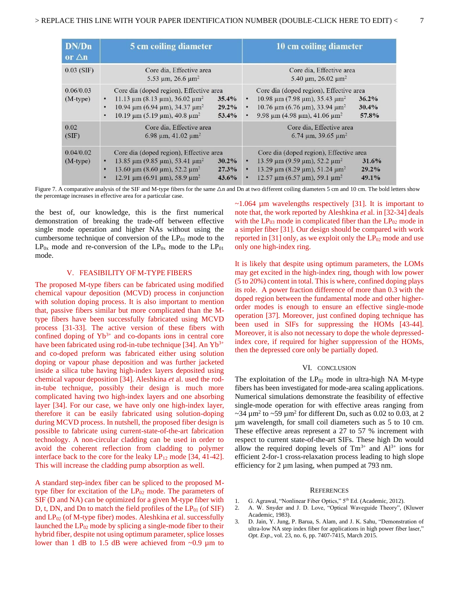| DN/Dn<br>or $\Delta n$   | 5 cm coiling diameter                                                                                                                                                                                                                                                             | 10 cm coiling diameter                                                                                                                                                                                                                                                                          |
|--------------------------|-----------------------------------------------------------------------------------------------------------------------------------------------------------------------------------------------------------------------------------------------------------------------------------|-------------------------------------------------------------------------------------------------------------------------------------------------------------------------------------------------------------------------------------------------------------------------------------------------|
| 0.03(SIF)                | Core dia, Effective area<br>5.53 $\mu$ m, 26.6 $\mu$ m <sup>2</sup>                                                                                                                                                                                                               | Core dia, Effective area<br>5.40 $\mu$ m, 26.02 $\mu$ m <sup>2</sup>                                                                                                                                                                                                                            |
| 0.06/0.03<br>$(M-type)$  | Core dia (doped region), Effective area<br>11.13 $\mu$ m (8.13 $\mu$ m), 36.02 $\mu$ m <sup>2</sup><br>35.4%<br>$\bullet$<br>10.94 μm (6.94 μm), 34.37 μm <sup>2</sup><br>29.2%<br>$\bullet$<br>10.19 μm (5.19 μm), 40.8 μm <sup>2</sup><br>53.4%<br>$\bullet$                    | Core dia (doped region), Effective area<br>10.98 $\mu$ m (7.98 $\mu$ m), 35.43 $\mu$ m <sup>2</sup><br>$36.2\%$<br>$\bullet$<br>10.76 $\mu$ m (6.76 $\mu$ m), 33.94 $\mu$ m <sup>2</sup><br>30.4%<br>$\bullet$<br>9.98 $\mu$ m (4.98 $\mu$ m), 41.06 $\mu$ m <sup>2</sup><br>57.8%<br>$\bullet$ |
| 0.02<br>(SIF)            | Core dia, Effective area<br>6.98 $\mu$ m, 41.02 $\mu$ m <sup>2</sup>                                                                                                                                                                                                              | Core dia, Effective area<br>6.74 um, 39.65 $\mu$ m <sup>2</sup>                                                                                                                                                                                                                                 |
| 0.04/0.02<br>$(M$ -type) | Core dia (doped region), Effective area<br>13.85 $\mu$ m (9.85 $\mu$ m), 53.41 $\mu$ m <sup>2</sup><br>$30.2\%$<br>$\bullet$<br>13.60 $\mu$ m (8.60 $\mu$ m), 52.2 $\mu$ m <sup>2</sup><br>27.3%<br>$\bullet$<br>12.91 $\mu$ m (6.91 $\mu$ m), 58.9 $\mu$ m <sup>2</sup><br>43.6% | Core dia (doped region), Effective area<br>13.59 $\mu$ m (9.59 $\mu$ m), 52.2 $\mu$ m <sup>2</sup><br>31.6%<br>$\bullet$<br>13.29 μm (8.29 μm), 51.24 μm <sup>2</sup><br>$29.2\%$<br>$\bullet$<br>$12.57 \text{ }\mu\text{m}$ (6.57 $\mu$ m), 59.1 $\mu$ m <sup>2</sup><br>49.1%<br>$\bullet$   |

Figure 7. A comparative analysis of the SIF and M-type fibers for the same ∆n and Dn at two different coiling diameters 5 cm and 10 cm. The bold letters show the percentage increases in effective area for a particular case.

the best of, our knowledge, this is the first numerical demonstration of breaking the trade-off between effective single mode operation and higher NAs without using the cumbersome technique of conversion of the  $LP_{01}$  mode to the  $LP_{0x}$  mode and re-conversion of the  $LP_{0x}$  mode to the  $LP_{01}$ mode.

# V. FEASIBILITY OF M-TYPE FIBERS

The proposed M-type fibers can be fabricated using modified chemical vapour deposition (MCVD) process in conjunction with solution doping process. It is also important to mention that, passive fibers similar but more complicated than the Mtype fibers have been successfully fabricated using MCVD process [31-33]. The active version of these fibers with confined doping of  $Yb^{3+}$  and co-dopants ions in central core have been fabricated using rod-in-tube technique [34]. An Yb<sup>3+</sup> and co-doped preform was fabricated either using solution doping or vapour phase deposition and was further jacketed inside a silica tube having high-index layers deposited using chemical vapour deposition [34]. Aleshkina *et* al. used the rodin-tube technique, possibly their design is much more complicated having two high-index layers and one absorbing layer [34]. For our case, we have only one high-index layer, therefore it can be easily fabricated using solution-doping during MCVD process. In nutshell, the proposed fiber design is possible to fabricate using current-state-of-the-art fabrication technology. A non-circular cladding can be used in order to avoid the coherent reflection from cladding to polymer interface back to the core for the leaky  $LP_{12}$  mode [34, 41-42]. This will increase the cladding pump absorption as well.

A standard step-index fiber can be spliced to the proposed Mtype fiber for excitation of the  $LP_{02}$  mode. The parameters of SIF (D and NA) can be optimized for a given M-type fiber with D, t, DN, and Dn to match the field profiles of the  $LP_{01}$  (of SIF) and LP<sup>02</sup> (of M-type fiber) modes. Aleshkina *et* al. successfully launched the  $LP_{02}$  mode by splicing a single-mode fiber to their hybrid fiber, despite not using optimum parameter, splice losses lower than 1 dB to 1.5 dB were achieved from  $\sim 0.9$  µm to  $\sim$ 1.064 µm wavelengths respectively [31]. It is important to note that, the work reported by Aleshkina *et* al. in [32-34] deals with the  $LP_{03}$  mode in complicated fiber than the  $LP_{02}$  mode in a simpler fiber [31]. Our design should be compared with work reported in [31] only, as we exploit only the  $LP_{02}$  mode and use only one high-index ring.

It is likely that despite using optimum parameters, the LOMs may get excited in the high-index ring, though with low power (5 to 20%) content in total. This is where, confined doping plays its role. A power fraction difference of more than 0.3 with the doped region between the fundamental mode and other higherorder modes is enough to ensure an effective single-mode operation [37]. Moreover, just confined doping technique has been used in SIFs for suppressing the HOMs [43-44]. Moreover, it is also not necessary to dope the whole depressedindex core, if required for higher suppression of the HOMs, then the depressed core only be partially doped.

## VI. CONCLUSION

The exploitation of the  $LP_{02}$  mode in ultra-high NA M-type fibers has been investigated for mode-area scaling applications. Numerical simulations demonstrate the feasibility of effective single-mode operation for with effective areas ranging from ~34  $\mu$ m<sup>2</sup> to ~59  $\mu$ m<sup>2</sup> for different Dn, such as 0.02 to 0.03, at 2 µm wavelength, for small coil diameters such as 5 to 10 cm. These effective areas represent a 27 to 57 % increment with respect to current state-of-the-art SIFs. These high Dn would allow the required doping levels of  $Tm^{3+}$  and  $Al^{3+}$  ions for efficient 2-for-1 cross-relaxation process leading to high slope efficiency for 2 µm lasing, when pumped at 793 nm.

#### **REFERENCES**

- 1. G. Agrawal, "Nonlinear Fiber Optics," 5th Ed. (Academic, 2012).
- 2. A. W. Snyder and J. D. Love, "Optical Waveguide Theory"*,* (Kluwer Academic, 1983).
- 3. D. Jain, Y. Jung, P. Barua, S. Alam, and J. K. Sahu, "Demonstration of ultra-low NA step index fiber for applications in high power fiber laser," *Opt. Exp.,* vol. 23, no. 6, pp. 7407-7415, March 2015.